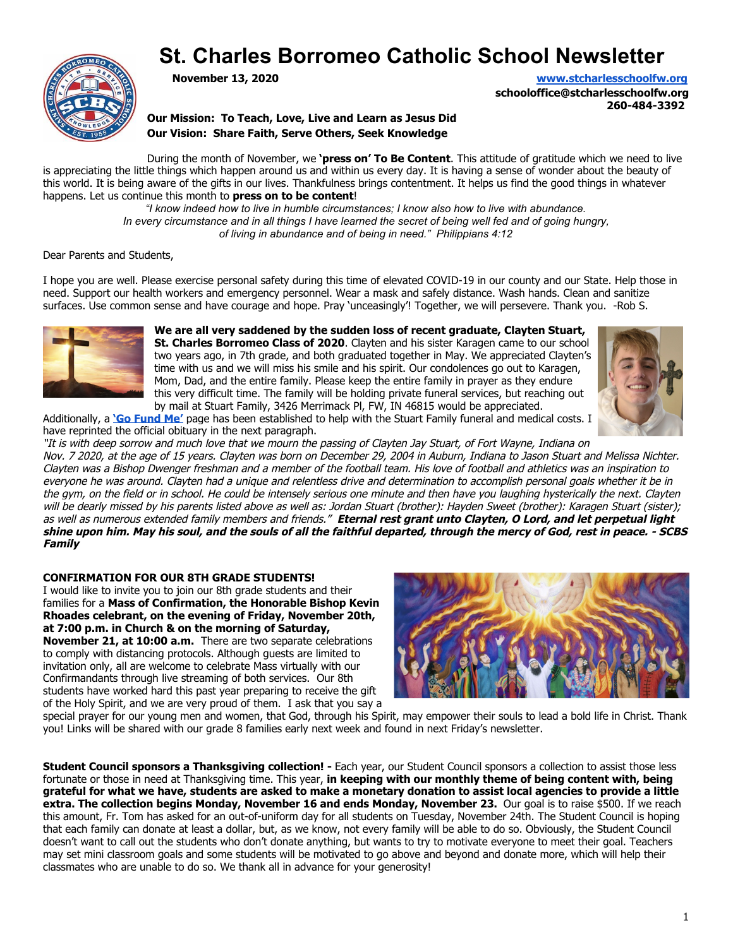

# **St. Charles Borromeo Catholic School Newsletter**

**November 13, 2020 [www.stcharlesschoolfw.org](http://www.stcharlesschoolfw.org/)**

**schooloffice@stcharlesschoolfw.org 260-484-3392**

**Our Mission: To Teach, Love, Live and Learn as Jesus Did Our Vision: Share Faith, Serve Others, Seek Knowledge**

During the month of November, we **'press on' To Be Content**. This attitude of gratitude which we need to live is appreciating the little things which happen around us and within us every day. It is having a sense of wonder about the beauty of this world. It is being aware of the gifts in our lives. Thankfulness brings contentment. It helps us find the good things in whatever happens. Let us continue this month to **press on to be content**!

*"I know indeed how to live in humble circumstances; I know also how to live with abundance. In every circumstance and in all things I have learned the secret of being well fed and of going hungry, of living in abundance and of being in need." Philippians 4:12*

Dear Parents and Students,

I hope you are well. Please exercise personal safety during this time of elevated COVID-19 in our county and our State. Help those in need. Support our health workers and emergency personnel. Wear a mask and safely distance. Wash hands. Clean and sanitize surfaces. Use common sense and have courage and hope. Pray 'unceasingly'! Together, we will persevere. Thank you. -Rob S.



**We are all very saddened by the sudden loss of recent graduate, Clayten Stuart, St. Charles Borromeo Class of 2020**. Clayten and his sister Karagen came to our school two years ago, in 7th grade, and both graduated together in May. We appreciated Clayten's time with us and we will miss his smile and his spirit. Our condolences go out to Karagen, Mom, Dad, and the entire family. Please keep the entire family in prayer as they endure this very difficult time. The family will be holding private funeral services, but reaching out by mail at Stuart Family, 3426 Merrimack Pl, FW, IN 46815 would be appreciated.



Additionally, a **['Go Fund Me'](https://www.gofundme.com/f/26q76lm42o)** page has been established to help with the Stuart Family funeral and medical costs. I have reprinted the official obituary in the next paragraph.

"It is with deep sorrow and much love that we mourn the passing of Clayten Jay Stuart, of Fort Wayne, Indiana on Nov. 7 2020, at the age of 15 years. Clayten was born on December 29, 2004 in Auburn, Indiana to Jason Stuart and Melissa Nichter. Clayten was a Bishop Dwenger freshman and a member of the football team. His love of football and athletics was an inspiration to everyone he was around. Clayten had a unique and relentless drive and determination to accomplish personal goals whether it be in the gym, on the field or in school. He could be intensely serious one minute and then have you laughing hysterically the next. Clayten will be dearly missed by his parents listed above as well as: Jordan Stuart (brother): Hayden Sweet (brother): Karagen Stuart (sister); as well as numerous extended family members and friends." **Eternal rest grant unto Clayten, O Lord, and let perpetual light shine upon him. May his soul, and the souls of all the faithful departed, through the mercy of God, rest in peace. - SCBS Family**

**CONFIRMATION FOR OUR 8TH GRADE STUDENTS!**

I would like to invite you to join our 8th grade students and their families for a **Mass of Confirmation, the Honorable Bishop Kevin Rhoades celebrant, on the evening of Friday, November 20th, at 7:00 p.m. in Church & on the morning of Saturday, November 21, at 10:00 a.m.** There are two separate celebrations to comply with distancing protocols. Although guests are limited to

invitation only, all are welcome to celebrate Mass virtually with our Confirmandants through live streaming of both services. Our 8th students have worked hard this past year preparing to receive the gift of the Holy Spirit, and we are very proud of them. I ask that you say a



special prayer for our young men and women, that God, through his Spirit, may empower their souls to lead a bold life in Christ. Thank you! Links will be shared with our grade 8 families early next week and found in next Friday's newsletter.

**Student Council sponsors a Thanksgiving collection! -** Each year, our Student Council sponsors a collection to assist those less fortunate or those in need at Thanksgiving time. This year, **in keeping with our monthly theme of being content with, being grateful for what we have, students are asked to make a monetary donation to assist local agencies to provide a little extra. The collection begins Monday, November 16 and ends Monday, November 23.** Our goal is to raise \$500. If we reach this amount, Fr. Tom has asked for an out-of-uniform day for all students on Tuesday, November 24th. The Student Council is hoping that each family can donate at least a dollar, but, as we know, not every family will be able to do so. Obviously, the Student Council doesn't want to call out the students who don't donate anything, but wants to try to motivate everyone to meet their goal. Teachers may set mini classroom goals and some students will be motivated to go above and beyond and donate more, which will help their classmates who are unable to do so. We thank all in advance for your generosity!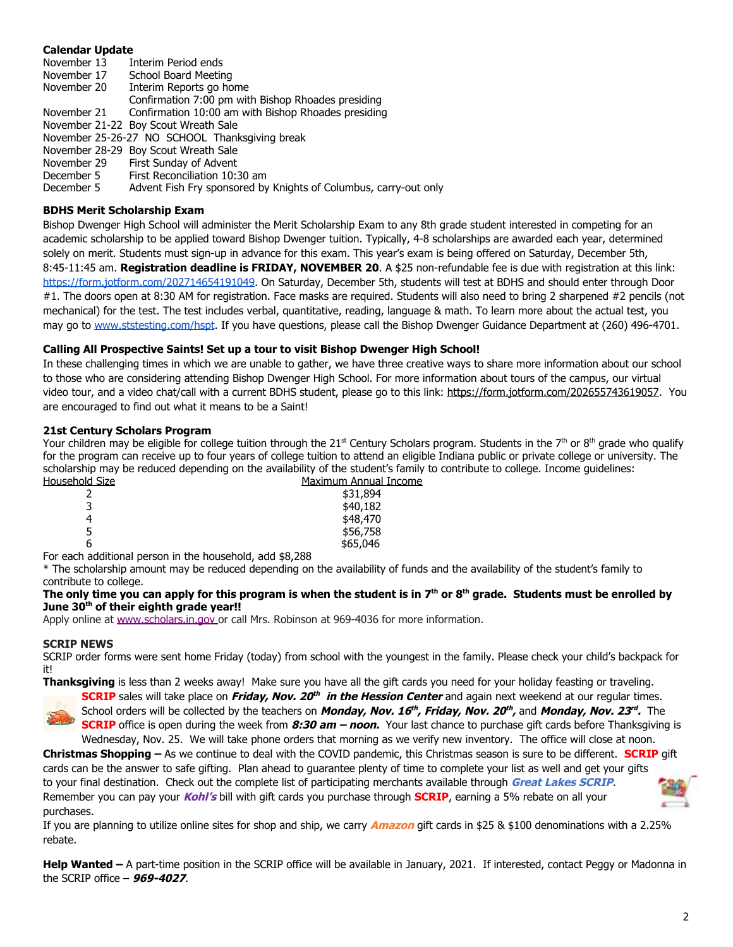# **Calendar Update**

November 13 Interim Period ends November 17 School Board Meeting November 20 Interim Reports go home Confirmation 7:00 pm with Bishop Rhoades presiding November 21 Confirmation 10:00 am with Bishop Rhoades presiding November 21-22 Boy Scout Wreath Sale November 25-26-27 NO SCHOOL Thanksgiving break November 28-29 Boy Scout Wreath Sale November 29 First Sunday of Advent December 5 First Reconciliation 10:30 am December 5 Advent Fish Fry sponsored by Knights of Columbus, carry-out only

# **BDHS Merit Scholarship Exam**

Bishop Dwenger High School will administer the Merit Scholarship Exam to any 8th grade student interested in competing for an academic scholarship to be applied toward Bishop Dwenger tuition. Typically, 4-8 scholarships are awarded each year, determined solely on merit. Students must sign-up in advance for this exam. This year's exam is being offered on Saturday, December 5th, 8:45-11:45 am. **Registration deadline is FRIDAY, NOVEMBER 20**. A \$25 non-refundable fee is due with registration at this link: [https://form.jotform.com/202714654191049.](https://form.jotform.com/202714654191049) On Saturday, December 5th, students will test at BDHS and should enter through Door #1. The doors open at 8:30 AM for registration. Face masks are required. Students will also need to bring 2 sharpened #2 pencils (not mechanical) for the test. The test includes verbal, quantitative, reading, language & math. To learn more about the actual test, you may go to [www.ststesting.com/hspt](http://www.ststesting.com/hspt). If you have questions, please call the Bishop Dwenger Guidance Department at (260) 496-4701.

# **Calling All Prospective Saints! Set up a tour to visit Bishop Dwenger High School!**

In these challenging times in which we are unable to gather, we have three creative ways to share more information about our school to those who are considering attending Bishop Dwenger High School. For more information about tours of the campus, our virtual video tour, and a video chat/call with a current BDHS student, please go to this link: <https://form.jotform.com/202655743619057>. You are encouraged to find out what it means to be a Saint!

# **21st Century Scholars Program**

Your children may be eligible for college tuition through the 21st Century Scholars program. Students in the 7th or 8th grade who qualify for the program can receive up to four years of college tuition to attend an eligible Indiana public or private college or university. The scholarship may be reduced depending on the availability of the student's family to contribute to college. Income guidelines:<br>Household Size<br>Maximum Annual Income Maximum Annual Income

| סאור ח | <u>riaxilliulli Allilual I</u> |
|--------|--------------------------------|
|        | \$31,894                       |
| 3      | \$40,182                       |
| 4      | \$48,470                       |
| 5      | \$56,758                       |
| 6      | \$65,046                       |
|        |                                |

For each additional person in the household, add \$8,288

\* The scholarship amount may be reduced depending on the availability of funds and the availability of the student's family to contribute to college.

# **The only time you can apply for this program is when the student is in 7th or 8th grade. Students must be enrolled by June 30th of their eighth grade year!!**

Apply online at [www.scholars.in.gov](http://www.scholars.in.gov/) or call Mrs. Robinson at 969-4036 for more information.

# **SCRIP NEWS**

SCRIP order forms were sent home Friday (today) from school with the youngest in the family. Please check your child's backpack for it!

**Thanksgiving** is less than 2 weeks away! Make sure you have all the gift cards you need for your holiday feasting or traveling.



**SCRIP** sales will take place on **Friday, Nov. 20 th in the Hession Center** and again next weekend at our regular times. School orders will be collected by the teachers on *Monday, Nov. 16<sup>th</sup>, Friday, Nov. 20<sup>th</sup>,* and *Monday, Nov. 23<sup>rd</sup>.* The **SCRIP** office is open during the week from **8:30 am – noon.** Your last chance to purchase gift cards before Thanksgiving is Wednesday, Nov. 25. We will take phone orders that morning as we verify new inventory. The office will close at noon.

**Christmas Shopping –** As we continue to deal with the COVID pandemic, this Christmas season is sure to be different. **SCRIP** gift cards can be the answer to safe gifting. Plan ahead to guarantee plenty of time to complete your list as well and get your gifts to your final destination. Check out the complete list of participating merchants available through **Great Lakes SCRIP**. Remember you can pay your **Kohl's** bill with gift cards you purchase through **SCRIP**, earning a 5% rebate on all your purchases.

If you are planning to utilize online sites for shop and ship, we carry **Amazon** gift cards in \$25 & \$100 denominations with a 2.25% rebate.

**Help Wanted –** A part-time position in the SCRIP office will be available in January, 2021. If interested, contact Peggy or Madonna in the SCRIP office – **969-4027**.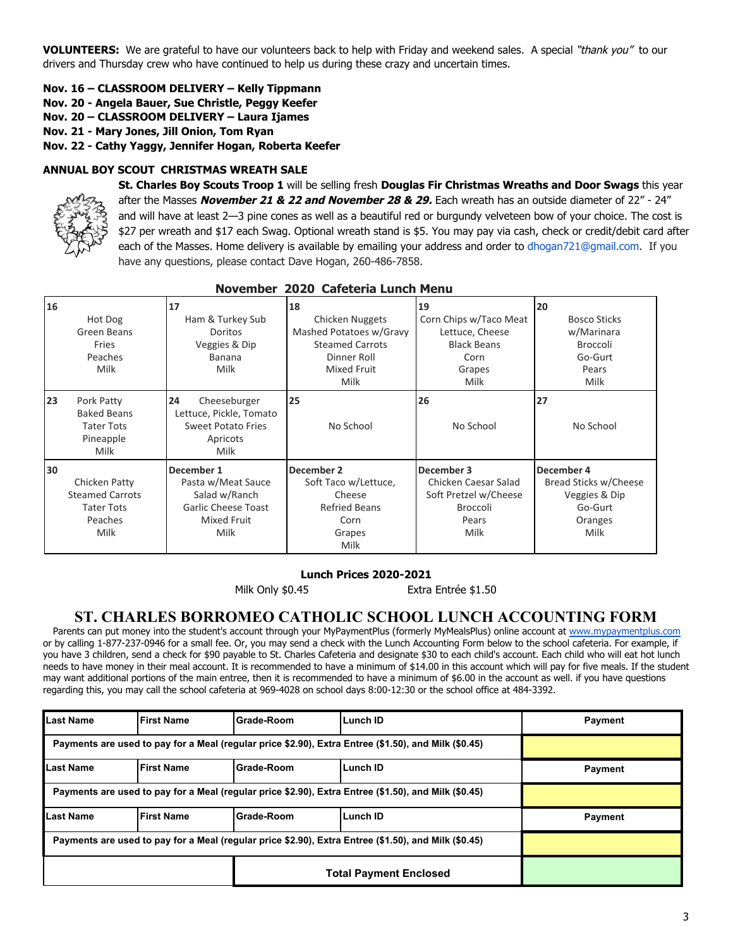**VOLUNTEERS:** We are grateful to have our volunteers back to help with Friday and weekend sales. A special "thank you" to our drivers and Thursday crew who have continued to help us during these crazy and uncertain times.

# **Nov. 16 – CLASSROOM DELIVERY – Kelly Tippmann**

- **Nov. 20 Angela Bauer, Sue Christle, Peggy Keefer**
- **Nov. 20 CLASSROOM DELIVERY Laura Ijames**
- **Nov. 21 Mary Jones, Jill Onion, Tom Ryan**

**Nov. 22 - Cathy Yaggy, Jennifer Hogan, Roberta Keefer**

## **ANNUAL BOY SCOUT CHRISTMAS WREATH SALE**



**St. Charles Boy Scouts Troop 1** will be selling fresh **Douglas Fir Christmas Wreaths and Door Swags** this year after the Masses **November 21 & 22 and November 28 & 29.** Each wreath has an outside diameter of 22" - 24" and will have at least 2—3 pine cones as well as a beautiful red or burgundy velveteen bow of your choice. The cost is \$27 per wreath and \$17 each Swag. Optional wreath stand is \$5. You may pay via cash, check or credit/debit card after each of the Masses. Home delivery is available by emailing your address and order to dhogan721@gmail.com. If you have any questions, please contact Dave Hogan, 260-486-7858.

| 16 |                        | 17                         | 18                      | 19                     | 20                    |
|----|------------------------|----------------------------|-------------------------|------------------------|-----------------------|
|    | Hot Dog                | Ham & Turkey Sub           | Chicken Nuggets         | Corn Chips w/Taco Meat | <b>Bosco Sticks</b>   |
|    | Green Beans            | <b>Doritos</b>             | Mashed Potatoes w/Gravy | Lettuce, Cheese        | w/Marinara            |
|    | <b>Fries</b>           | Veggies & Dip              | <b>Steamed Carrots</b>  | <b>Black Beans</b>     | <b>Broccoli</b>       |
|    | Peaches                | Banana                     | Dinner Roll             | Corn                   | Go-Gurt               |
|    | Milk                   | Milk                       | Mixed Fruit             | Grapes                 | Pears                 |
|    |                        |                            | Milk                    | Milk                   | Milk                  |
| 23 | Pork Patty             | 24<br>Cheeseburger         | 25                      | 26                     | 27                    |
|    | <b>Baked Beans</b>     | Lettuce, Pickle, Tomato    |                         |                        |                       |
|    | <b>Tater Tots</b>      | Sweet Potato Fries         | No School               | No School              | No School             |
|    | Pineapple              | Apricots                   |                         |                        |                       |
|    | Milk                   | Milk                       |                         |                        |                       |
| 30 |                        | December 1                 | December 2              | December 3             | December 4            |
|    | Chicken Patty          | Pasta w/Meat Sauce         | Soft Taco w/Lettuce,    | Chicken Caesar Salad   | Bread Sticks w/Cheese |
|    | <b>Steamed Carrots</b> | Salad w/Ranch              | Cheese                  | Soft Pretzel w/Cheese  | Veggies & Dip         |
|    | <b>Tater Tots</b>      | <b>Garlic Cheese Toast</b> | <b>Refried Beans</b>    | <b>Broccoli</b>        | Go-Gurt               |
|    | Peaches                | Mixed Fruit                | Corn                    | Pears                  | Oranges               |
|    | Milk                   | Milk                       | Grapes                  | Milk                   | Milk                  |
|    |                        |                            | Milk                    |                        |                       |

## **November 2020 Cafeteria Lunch Menu**

# **Lunch Prices 2020-2021**

Milk Only \$0.45 Extra Entrée \$1.50

### **ST. CHARLES BORROMEO CATHOLIC SCHOOL LUNCH ACCOUNTING FORM**

Parents can put money into the student's account through your MyPaymentPlus (formerly MyMealsPlus) online account at [www.mypaymentplus.com](https://www.mypaymentsplus.com/welcome) or by calling 1-877-237-0946 for a small fee. Or, you may send a check with the Lunch Accounting Form below to the school cafeteria. For example, if you have 3 children, send a check for \$90 payable to St. Charles Cafeteria and designate \$30 to each child's account. Each child who will eat hot lunch needs to have money in their meal account. It is recommended to have a minimum of \$14.00 in this account which will pay for five meals. If the student may want additional portions of the main entree, then it is recommended to have a minimum of \$6.00 in the account as well. if you have questions regarding this, you may call the school cafeteria at 969-4028 on school days 8:00-12:30 or the school office at 484-3392.

| Last Name                                                                                            | <b>First Name</b> | Grade-Room | Lunch ID        | Payment |  |
|------------------------------------------------------------------------------------------------------|-------------------|------------|-----------------|---------|--|
| Payments are used to pay for a Meal (regular price \$2.90), Extra Entree (\$1.50), and Milk (\$0.45) |                   |            |                 |         |  |
| <b>Last Name</b>                                                                                     | <b>First Name</b> | Grade-Room | <b>Lunch ID</b> | Payment |  |
| Payments are used to pay for a Meal (regular price \$2.90), Extra Entree (\$1.50), and Milk (\$0.45) |                   |            |                 |         |  |
| <b>Last Name</b>                                                                                     | <b>First Name</b> | Grade-Room | Lunch ID        | Payment |  |
| Payments are used to pay for a Meal (regular price \$2.90), Extra Entree (\$1.50), and Milk (\$0.45) |                   |            |                 |         |  |
| <b>Total Payment Enclosed</b>                                                                        |                   |            |                 |         |  |